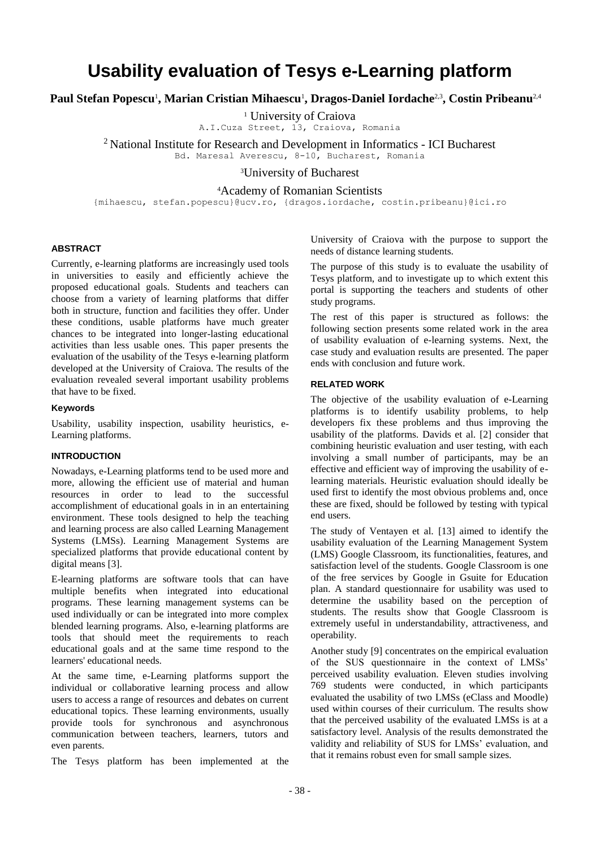# **Usability evaluation of Tesys e-Learning platform**

**Paul Stefan Popescu**<sup>1</sup> **, Marian Cristian Mihaescu**<sup>1</sup> **, Dragos-Daniel Iordache**2,3**, Costin Pribeanu**2,4

<sup>1</sup> University of Craiova

A.I.Cuza Street, 13, Craiova, Romania

<sup>2</sup> National Institute for Research and Development in Informatics - ICI Bucharest Bd. Maresal Averescu, 8-10, Bucharest, Romania

<sup>3</sup>University of Bucharest

<sup>4</sup>Academy of Romanian Scientists

{mihaescu, stefan.popescu}@ucv.ro, {dragos.iordache, costin.pribeanu}@ici.ro

## **ABSTRACT**

Currently, e-learning platforms are increasingly used tools in universities to easily and efficiently achieve the proposed educational goals. Students and teachers can choose from a variety of learning platforms that differ both in structure, function and facilities they offer. Under these conditions, usable platforms have much greater chances to be integrated into longer-lasting educational activities than less usable ones. This paper presents the evaluation of the usability of the Tesys e-learning platform developed at the University of Craiova. The results of the evaluation revealed several important usability problems that have to be fixed.

## **Keywords**

Usability, usability inspection, usability heuristics, e-Learning platforms.

# **INTRODUCTION**

Nowadays, e-Learning platforms tend to be used more and more, allowing the efficient use of material and human resources in order to lead to the successful accomplishment of educational goals in in an entertaining environment. These tools designed to help the teaching and learning process are also called Learning Management Systems (LMSs). Learning Management Systems are specialized platforms that provide educational content by digital means [3].

E-learning platforms are software tools that can have multiple benefits when integrated into educational programs. These learning management systems can be used individually or can be integrated into more complex blended learning programs. Also, e-learning platforms are tools that should meet the requirements to reach educational goals and at the same time respond to the learners' educational needs.

At the same time, e-Learning platforms support the individual or collaborative learning process and allow users to access a range of resources and debates on current educational topics. These learning environments, usually provide tools for synchronous and asynchronous communication between teachers, learners, tutors and even parents.

The Tesys platform has been implemented at the

University of Craiova with the purpose to support the needs of distance learning students.

The purpose of this study is to evaluate the usability of Tesys platform, and to investigate up to which extent this portal is supporting the teachers and students of other study programs.

The rest of this paper is structured as follows: the following section presents some related work in the area of usability evaluation of e-learning systems. Next, the case study and evaluation results are presented. The paper ends with conclusion and future work.

## **RELATED WORK**

The objective of the usability evaluation of e-Learning platforms is to identify usability problems, to help developers fix these problems and thus improving the usability of the platforms. Davids et al. [2] consider that combining heuristic evaluation and user testing, with each involving a small number of participants, may be an effective and efficient way of improving the usability of elearning materials. Heuristic evaluation should ideally be used first to identify the most obvious problems and, once these are fixed, should be followed by testing with typical end users.

The study of Ventayen et al. [13] aimed to identify the usability evaluation of the Learning Management System (LMS) Google Classroom, its functionalities, features, and satisfaction level of the students. Google Classroom is one of the free services by Google in Gsuite for Education plan. A standard questionnaire for usability was used to determine the usability based on the perception of students. The results show that Google Classroom is extremely useful in understandability, attractiveness, and operability.

Another study [9] concentrates on the empirical evaluation of the SUS questionnaire in the context of LMSs' perceived usability evaluation. Eleven studies involving 769 students were conducted, in which participants evaluated the usability of two LMSs (eClass and Moodle) used within courses of their curriculum. The results show that the perceived usability of the evaluated LMSs is at a satisfactory level. Analysis of the results demonstrated the validity and reliability of SUS for LMSs' evaluation, and that it remains robust even for small sample sizes.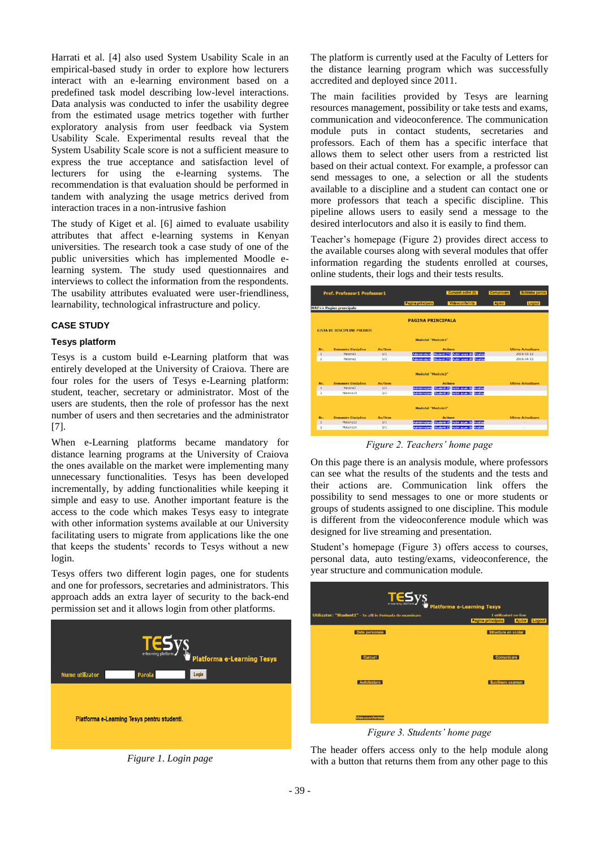Harrati et al. [4] also used System Usability Scale in an empirical-based study in order to explore how lecturers interact with an e-learning environment based on a predefined task model describing low-level interactions. Data analysis was conducted to infer the usability degree from the estimated usage metrics together with further exploratory analysis from user feedback via System Usability Scale. Experimental results reveal that the System Usability Scale score is not a sufficient measure to express the true acceptance and satisfaction level of lecturers for using the e-learning systems. The recommendation is that evaluation should be performed in tandem with analyzing the usage metrics derived from interaction traces in a non-intrusive fashion

The study of Kiget et al. [6] aimed to evaluate usability attributes that affect e-learning systems in Kenyan universities. The research took a case study of one of the public universities which has implemented Moodle elearning system. The study used questionnaires and interviews to collect the information from the respondents. The usability attributes evaluated were user-friendliness, learnability, technological infrastructure and policy.

## **CASE STUDY**

#### **Tesys platform**

Tesys is a custom build e-Learning platform that was entirely developed at the University of Craiova. There are four roles for the users of Tesys e-Learning platform: student, teacher, secretary or administrator. Most of the users are students, then the role of professor has the next number of users and then secretaries and the administrator [7].

When e-Learning platforms became mandatory for distance learning programs at the University of Craiova the ones available on the market were implementing many unnecessary functionalities. Tesys has been developed incrementally, by adding functionalities while keeping it simple and easy to use. Another important feature is the access to the code which makes Tesys easy to integrate with other information systems available at our University facilitating users to migrate from applications like the one that keeps the students' records to Tesys without a new login.

Tesys offers two different login pages, one for students and one for professors, secretaries and administrators. This approach adds an extra layer of security to the back-end permission set and it allows login from other platforms.



*Figure 1. Login page*

The platform is currently used at the Faculty of Letters for the distance learning program which was successfully accredited and deployed since 2011.

The main facilities provided by Tesys are learning resources management, possibility or take tests and exams, communication and videoconference. The communication module puts in contact students, secretaries and professors. Each of them has a specific interface that allows them to select other users from a restricted list based on their actual context. For example, a professor can send messages to one, a selection or all the students available to a discipline and a student can contact one or more professors that teach a specific discipline. This pipeline allows users to easily send a message to the desired interlocutors and also it is easily to find them.

Teacher's homepage (Figure 2) provides direct access to the available courses along with several modules that offer information regarding the students enrolled at courses, online students, their logs and their tests results.

| <b>Prof. Professor1 Professor1</b> |                                        |               | Cursanti activi (0)                                                           | Comunicare    | Schimba parola            |  |  |
|------------------------------------|----------------------------------------|---------------|-------------------------------------------------------------------------------|---------------|---------------------------|--|--|
|                                    |                                        |               | Videoconferinta<br>Pagina principala                                          | <b>Ajutor</b> | Logout                    |  |  |
|                                    | <b>MAP&gt;&gt; Pagina proncipala</b>   |               |                                                                               |               |                           |  |  |
|                                    |                                        |               | <b>PAGINA PRINCIPALA</b>                                                      |               |                           |  |  |
|                                    | <b>LISTA DE DISCIPI INF PREDATE</b>    |               |                                                                               |               |                           |  |  |
|                                    | Modulul "Module1"                      |               |                                                                               |               |                           |  |  |
| Nr.                                | <b>Denumire Disciplina</b>             | An/Sem        | <b>Actiune</b>                                                                |               | <b>Ultima Actualizare</b> |  |  |
| $\mathbf{1}$                       | Materie1                               | 1/1           | Studenti (11) Activi acum (0) Analiza<br><b>Admininstare</b>                  |               | 2018-03-13                |  |  |
| $\overline{\mathbf{2}}$            | Materie <sub>2</sub>                   | 1/2           | Studenti (11) Activi acum (0) Analiza<br><b>Admininstare</b>                  |               | $2018 - 04 - 13$          |  |  |
|                                    |                                        |               | Modulul "Module2"                                                             |               |                           |  |  |
| Nr.<br>$\mathbf{1}$                | <b>Denumire Disciplina</b><br>Materie7 | An/Sem<br>1/2 | <b>Actiune</b><br>Studenti (5) Activi acum (0) Analiza<br><b>Admininstare</b> |               | <b>Ultima Actualizare</b> |  |  |
| $\overline{\mathbf{z}}$            | Materie10                              | 2/2           | Studenti (3) Activi acum (0) Analiza<br><b>Admininstare</b>                   |               |                           |  |  |
|                                    | Modulul "Module3"                      |               |                                                                               |               |                           |  |  |
| Nr.                                | <b>Denumire Disciplina</b>             | An/Sem        | <b>Actiune</b>                                                                |               | <b>Ultima Actualizare</b> |  |  |
| $\mathbf{1}$                       | Materie12                              | 1/1           | Studenti (4) Activi acum (0) Analiza<br>Admininstare                          |               |                           |  |  |
| $\overline{z}$                     | Materie14                              | 2/1           | Studenti (0) Activi acum (0) Analiza<br><b>Admininstare</b>                   |               | ÷,                        |  |  |
|                                    |                                        |               |                                                                               |               |                           |  |  |

*Figure 2. Teachers' home page*

On this page there is an analysis module, where professors can see what the results of the students and the tests and their actions are. Communication link offers the possibility to send messages to one or more students or groups of students assigned to one discipline. This module is different from the videoconference module which was designed for live streaming and presentation.

Student's homepage (Figure 3) offers access to courses, personal data, auto testing/exams, videoconference, the year structure and communication module.

|                                                           | <b>TESYS</b><br>Platforma e-Learning Tesys                            |
|-----------------------------------------------------------|-----------------------------------------------------------------------|
| Utilizator: "Student1" - Te afli in Perioada de examinare | 1 utilizatori on-line<br>Pagina principala<br><b>Ajutor</b><br>Logout |
| Date personale                                            | Structura an scolar                                                   |
| Cursuri                                                   | Comunicare                                                            |
| Autotestare                                               | Sustinere examen                                                      |
|                                                           |                                                                       |
| Videoconferinta                                           |                                                                       |

*Figure 3. Students' home page*

The header offers access only to the help module along with a button that returns them from any other page to this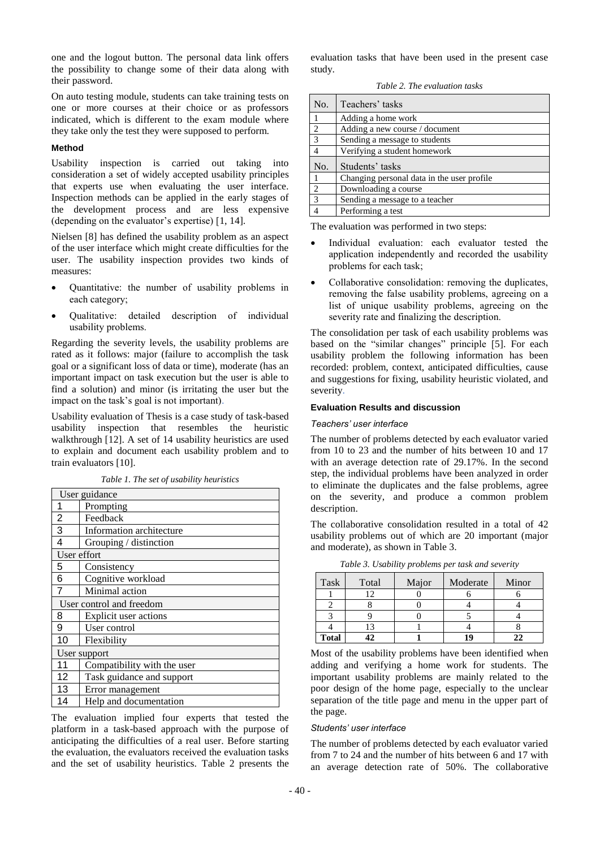one and the logout button. The personal data link offers the possibility to change some of their data along with their password.

On auto testing module, students can take training tests on one or more courses at their choice or as professors indicated, which is different to the exam module where they take only the test they were supposed to perform.

### **Method**

Usability inspection is carried out taking into consideration a set of widely accepted usability principles that experts use when evaluating the user interface. Inspection methods can be applied in the early stages of the development process and are less expensive (depending on the evaluator's expertise) [1, 14].

Nielsen [8] has defined the usability problem as an aspect of the user interface which might create difficulties for the user. The usability inspection provides two kinds of measures:

- Quantitative: the number of usability problems in each category;
- Qualitative: detailed description of individual usability problems.

Regarding the severity levels, the usability problems are rated as it follows: major (failure to accomplish the task goal or a significant loss of data or time), moderate (has an important impact on task execution but the user is able to find a solution) and minor (is irritating the user but the impact on the task's goal is not important).

Usability evaluation of Thesis is a case study of task-based usability inspection that resembles the heuristic walkthrough [12]. A set of 14 usability heuristics are used to explain and document each usability problem and to train evaluators [10].

| User guidance |                             |  |  |
|---------------|-----------------------------|--|--|
| 1             | Prompting                   |  |  |
| 2             | Feedback                    |  |  |
| 3             | Information architecture    |  |  |
| 4             | Grouping / distinction      |  |  |
| User effort   |                             |  |  |
| 5             | Consistency                 |  |  |
| 6             | Cognitive workload          |  |  |
| 7             | Minimal action              |  |  |
|               | User control and freedom    |  |  |
| 8             | Explicit user actions       |  |  |
| 9             | User control                |  |  |
| 10            | Flexibility                 |  |  |
| User support  |                             |  |  |
| 11            | Compatibility with the user |  |  |
| 12            | Task guidance and support   |  |  |
| 13            | Error management            |  |  |
| 14            | Help and documentation      |  |  |

The evaluation implied four experts that tested the platform in a task-based approach with the purpose of anticipating the difficulties of a real user. Before starting the evaluation, the evaluators received the evaluation tasks and the set of usability heuristics. Table 2 presents the

evaluation tasks that have been used in the present case study.

*Table 2. The evaluation tasks* 

| No.            | Teachers' tasks                            |
|----------------|--------------------------------------------|
|                | Adding a home work                         |
| 2              | Adding a new course / document             |
| $\overline{3}$ | Sending a message to students              |
|                | Verifying a student homework               |
| No.            | Students' tasks                            |
|                | Changing personal data in the user profile |
| 2              | Downloading a course                       |
| $\overline{3}$ | Sending a message to a teacher             |
|                | Performing a test                          |

The evaluation was performed in two steps:

- Individual evaluation: each evaluator tested the application independently and recorded the usability problems for each task;
- Collaborative consolidation: removing the duplicates, removing the false usability problems, agreeing on a list of unique usability problems, agreeing on the severity rate and finalizing the description.

The consolidation per task of each usability problems was based on the "similar changes" principle [5]. For each usability problem the following information has been recorded: problem, context, anticipated difficulties, cause and suggestions for fixing, usability heuristic violated, and severity.

## **Evaluation Results and discussion**

#### *Teachers' user interface*

The number of problems detected by each evaluator varied from 10 to 23 and the number of hits between 10 and 17 with an average detection rate of 29.17%. In the second step, the individual problems have been analyzed in order to eliminate the duplicates and the false problems, agree on the severity, and produce a common problem description.

The collaborative consolidation resulted in a total of 42 usability problems out of which are 20 important (major and moderate), as shown in Table 3.

| Task         | Total | Major | Moderate | Minor |
|--------------|-------|-------|----------|-------|
|              |       |       |          |       |
|              |       |       |          |       |
|              |       |       |          |       |
|              |       |       |          |       |
| <b>Total</b> |       |       |          | າາ    |

*Table 3. Usability problems per task and severity*

Most of the usability problems have been identified when adding and verifying a home work for students. The important usability problems are mainly related to the poor design of the home page, especially to the unclear separation of the title page and menu in the upper part of the page.

#### *Students' user interface*

The number of problems detected by each evaluator varied from 7 to 24 and the number of hits between 6 and 17 with an average detection rate of 50%. The collaborative